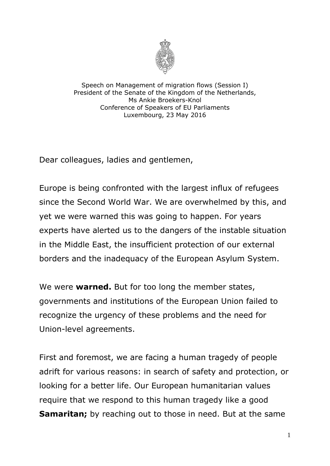

Speech on Management of migration flows (Session I) President of the Senate of the Kingdom of the Netherlands, Ms Ankie Broekers-Knol Conference of Speakers of EU Parliaments Luxembourg, 23 May 2016

Dear colleagues, ladies and gentlemen,

Europe is being confronted with the largest influx of refugees since the Second World War. We are overwhelmed by this, and yet we were warned this was going to happen. For years experts have alerted us to the dangers of the instable situation in the Middle East, the insufficient protection of our external borders and the inadequacy of the European Asylum System.

We were **warned.** But for too long the member states, governments and institutions of the European Union failed to recognize the urgency of these problems and the need for Union-level agreements.

First and foremost, we are facing a human tragedy of people adrift for various reasons: in search of safety and protection, or looking for a better life. Our European humanitarian values require that we respond to this human tragedy like a good **Samaritan;** by reaching out to those in need. But at the same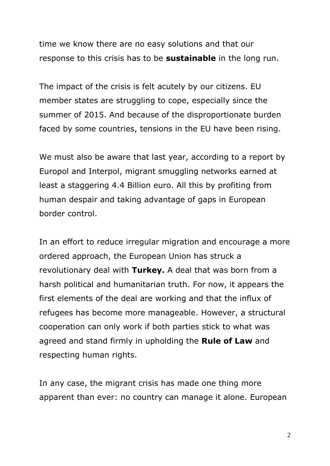time we know there are no easy solutions and that our response to this crisis has to be **sustainable** in the long run.

The impact of the crisis is felt acutely by our citizens. EU member states are struggling to cope, especially since the summer of 2015. And because of the disproportionate burden faced by some countries, tensions in the EU have been rising.

We must also be aware that last year, according to a report by Europol and Interpol, migrant smuggling networks earned at least a staggering 4.4 Billion euro. All this by profiting from human despair and taking advantage of gaps in European border control.

In an effort to reduce irregular migration and encourage a more ordered approach, the European Union has struck a revolutionary deal with **Turkey.** A deal that was born from a harsh political and humanitarian truth. For now, it appears the first elements of the deal are working and that the influx of refugees has become more manageable. However, a structural cooperation can only work if both parties stick to what was agreed and stand firmly in upholding the **Rule of Law** and respecting human rights.

In any case, the migrant crisis has made one thing more apparent than ever: no country can manage it alone. European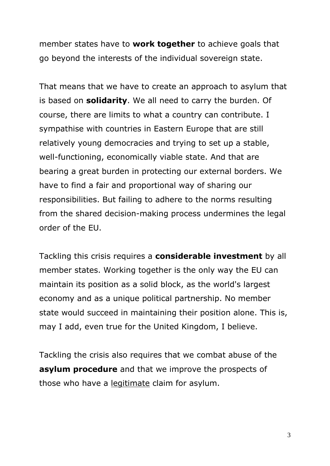member states have to **work together** to achieve goals that go beyond the interests of the individual sovereign state.

That means that we have to create an approach to asylum that is based on **solidarity**. We all need to carry the burden. Of course, there are limits to what a country can contribute. I sympathise with countries in Eastern Europe that are still relatively young democracies and trying to set up a stable, well-functioning, economically viable state. And that are bearing a great burden in protecting our external borders. We have to find a fair and proportional way of sharing our responsibilities. But failing to adhere to the norms resulting from the shared decision-making process undermines the legal order of the EU.

Tackling this crisis requires a **considerable investment** by all member states. Working together is the only way the EU can maintain its position as a solid block, as the world's largest economy and as a unique political partnership. No member state would succeed in maintaining their position alone. This is, may I add, even true for the United Kingdom, I believe.

Tackling the crisis also requires that we combat abuse of the **asylum procedure** and that we improve the prospects of those who have a legitimate claim for asylum.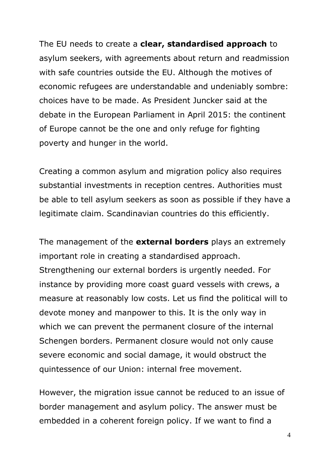The EU needs to create a **clear, standardised approach** to asylum seekers, with agreements about return and readmission with safe countries outside the EU. Although the motives of economic refugees are understandable and undeniably sombre: choices have to be made. As President Juncker said at the debate in the European Parliament in April 2015: the continent of Europe cannot be the one and only refuge for fighting poverty and hunger in the world.

Creating a common asylum and migration policy also requires substantial investments in reception centres. Authorities must be able to tell asylum seekers as soon as possible if they have a legitimate claim. Scandinavian countries do this efficiently.

The management of the **external borders** plays an extremely important role in creating a standardised approach. Strengthening our external borders is urgently needed. For instance by providing more coast guard vessels with crews, a measure at reasonably low costs. Let us find the political will to devote money and manpower to this. It is the only way in which we can prevent the permanent closure of the internal Schengen borders. Permanent closure would not only cause severe economic and social damage, it would obstruct the quintessence of our Union: internal free movement.

However, the migration issue cannot be reduced to an issue of border management and asylum policy. The answer must be embedded in a coherent foreign policy. If we want to find a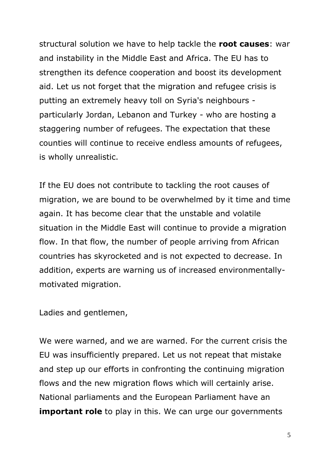structural solution we have to help tackle the **root causes**: war and instability in the Middle East and Africa. The EU has to strengthen its defence cooperation and boost its development aid. Let us not forget that the migration and refugee crisis is putting an extremely heavy toll on Syria's neighbours particularly Jordan, Lebanon and Turkey - who are hosting a staggering number of refugees. The expectation that these counties will continue to receive endless amounts of refugees, is wholly unrealistic.

If the EU does not contribute to tackling the root causes of migration, we are bound to be overwhelmed by it time and time again. It has become clear that the unstable and volatile situation in the Middle East will continue to provide a migration flow. In that flow, the number of people arriving from African countries has skyrocketed and is not expected to decrease. In addition, experts are warning us of increased environmentallymotivated migration.

Ladies and gentlemen,

We were warned, and we are warned. For the current crisis the EU was insufficiently prepared. Let us not repeat that mistake and step up our efforts in confronting the continuing migration flows and the new migration flows which will certainly arise. National parliaments and the European Parliament have an **important role** to play in this. We can urge our governments